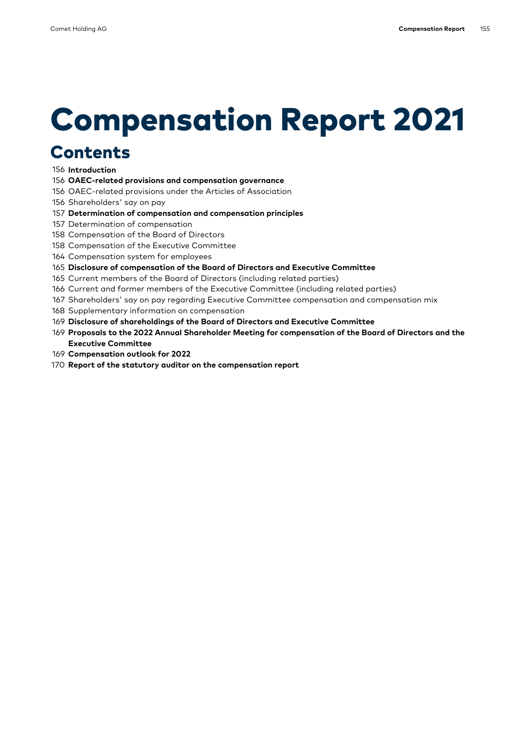# Compensation Report 2021

# **Contents**

- 156 Introduction
- 156 OAEC-related provisions and compensation governance
- 156 OAEC-related provisions under the Articles of Association
- 156 Shareholders' say on pay
- 157 Determination of compensation and compensation principles
- 157 Determination of compensation
- 158 Compensation of the Board of Directors
- 158 Compensation of the Executive Committee
- 164 Compensation system for employees
- 165 Disclosure of compensation of the Board of Directors and Executive Committee
- 165 Current members of the Board of Directors (including related parties)
- 166 Current and former members of the Executive Committee (including related parties)
- 167 Shareholders' say on pay regarding Executive Committee compensation and compensation mix
- 168 Supplementary information on compensation
- 169 Disclosure of shareholdings of the Board of Directors and Executive Committee
- 169 Proposals to the 2022 Annual Shareholder Meeting for compensation of the Board of Directors and the Executive Committee
- 169 Compensation outlook for 2022
- 170 Report of the statutory auditor on the compensation report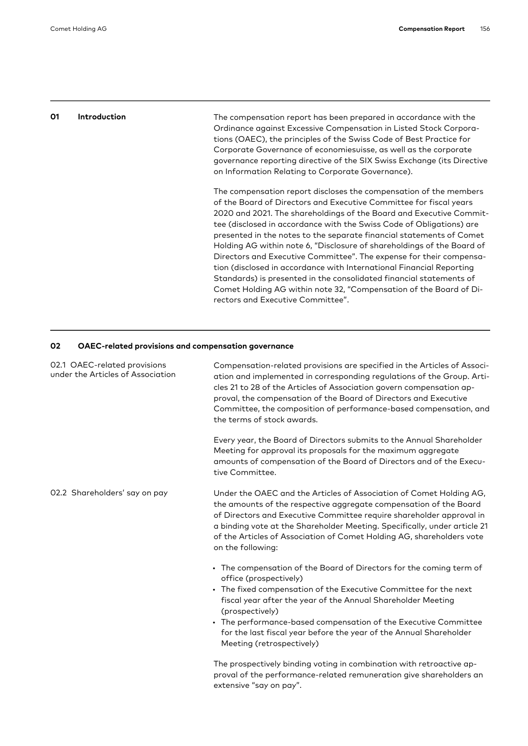01 Introduction The compensation report has been prepared in accordance with the Ordinance against Excessive Compensation in Listed Stock Corporations (OAEC), the principles of the Swiss Code of Best Practice for Corporate Governance of economiesuisse, as well as the corporate governance reporting directive of the SIX Swiss Exchange (its Directive on Information Relating to Corporate Governance).

> The compensation report discloses the compensation of the members of the Board of Directors and Executive Committee for fiscal years 2020 and 2021. The shareholdings of the Board and Executive Committee (disclosed in accordance with the Swiss Code of Obligations) are presented in the notes to the separate financial statements of Comet Holding AG within note 6, "Disclosure of shareholdings of the Board of Directors and Executive Committee". The expense for their compensation (disclosed in accordance with International Financial Reporting Standards) is presented in the consolidated financial statements of Comet Holding AG within note 32, "Compensation of the Board of Directors and Executive Committee".

#### 02 OAEC-related provisions and compensation governance

| 02.1 OAEC-related provisions<br>under the Articles of Association | Compensation-related provisions are specified in the Articles of Associ-<br>ation and implemented in corresponding regulations of the Group. Arti-<br>cles 21 to 28 of the Articles of Association govern compensation ap-<br>proval, the compensation of the Board of Directors and Executive<br>Committee, the composition of performance-based compensation, and<br>the terms of stock awards.                          |
|-------------------------------------------------------------------|----------------------------------------------------------------------------------------------------------------------------------------------------------------------------------------------------------------------------------------------------------------------------------------------------------------------------------------------------------------------------------------------------------------------------|
|                                                                   | Every year, the Board of Directors submits to the Annual Shareholder<br>Meeting for approval its proposals for the maximum aggregate<br>amounts of compensation of the Board of Directors and of the Execu-<br>tive Committee.                                                                                                                                                                                             |
| 02.2 Shareholders' say on pay                                     | Under the OAEC and the Articles of Association of Comet Holding AG,<br>the amounts of the respective aggregate compensation of the Board<br>of Directors and Executive Committee require shareholder approval in<br>a binding vote at the Shareholder Meeting. Specifically, under article 21<br>of the Articles of Association of Comet Holding AG, shareholders vote<br>on the following:                                |
|                                                                   | • The compensation of the Board of Directors for the coming term of<br>office (prospectively)<br>• The fixed compensation of the Executive Committee for the next<br>fiscal year after the year of the Annual Shareholder Meeting<br>(prospectively)<br>• The performance-based compensation of the Executive Committee<br>for the last fiscal year before the year of the Annual Shareholder<br>Meeting (retrospectively) |
|                                                                   | The prospectively binding voting in combination with retroactive ap-<br>proval of the performance-related remuneration give shareholders an                                                                                                                                                                                                                                                                                |

extensive "say on pay".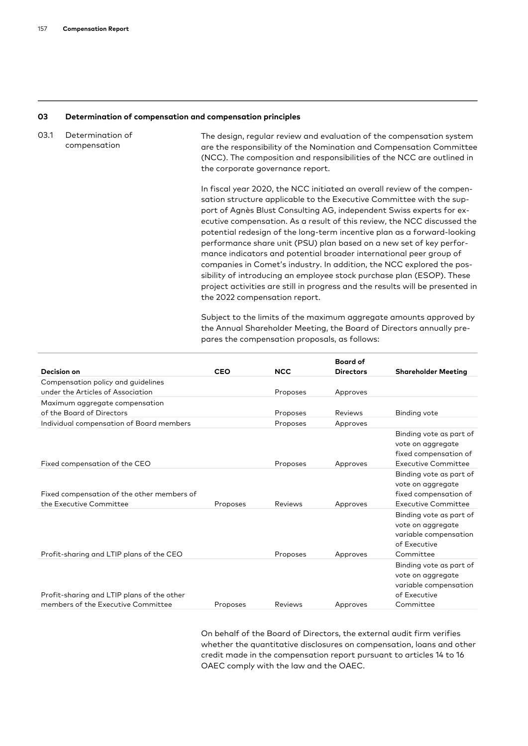#### 03 Determination of compensation and compensation principles

03.1 Determination of compensation The design, regular review and evaluation of the compensation system are the responsibility of the Nomination and Compensation Committee (NCC). The composition and responsibilities of the NCC are outlined in the corporate governance report.

> In fiscal year 2020, the NCC initiated an overall review of the compensation structure applicable to the Executive Committee with the support of Agnès Blust Consulting AG, independent Swiss experts for executive compensation. As a result of this review, the NCC discussed the potential redesign of the long-term incentive plan as a forward-looking performance share unit (PSU) plan based on a new set of key performance indicators and potential broader international peer group of companies in Comet's industry. In addition, the NCC explored the possibility of introducing an employee stock purchase plan (ESOP). These project activities are still in progress and the results will be presented in the 2022 compensation report.

> Subject to the limits of the maximum aggregate amounts approved by the Annual Shareholder Meeting, the Board of Directors annually prepares the compensation proposals, as follows:

|                                                                         |            |            | Board of         |                            |
|-------------------------------------------------------------------------|------------|------------|------------------|----------------------------|
| Decision on                                                             | <b>CEO</b> | <b>NCC</b> | <b>Directors</b> | <b>Shareholder Meeting</b> |
| Compensation policy and guidelines<br>under the Articles of Association |            | Proposes   | Approves         |                            |
|                                                                         |            |            |                  |                            |
| Maximum aggregate compensation<br>of the Board of Directors             |            | Proposes   | Reviews          | Binding vote               |
|                                                                         |            |            |                  |                            |
| Individual compensation of Board members                                |            | Proposes   | Approves         |                            |
|                                                                         |            |            |                  | Binding vote as part of    |
|                                                                         |            |            |                  | vote on aggregate          |
|                                                                         |            |            |                  | fixed compensation of      |
| Fixed compensation of the CEO                                           |            | Proposes   | Approves         | Executive Committee        |
|                                                                         |            |            |                  | Binding vote as part of    |
|                                                                         |            |            |                  | vote on aggregate          |
| Fixed compensation of the other members of                              |            |            |                  | fixed compensation of      |
| the Executive Committee                                                 | Proposes   | Reviews    | Approves         | Executive Committee        |
|                                                                         |            |            |                  | Binding vote as part of    |
|                                                                         |            |            |                  | vote on aggregate          |
|                                                                         |            |            |                  | variable compensation      |
|                                                                         |            |            |                  | of Executive               |
| Profit-sharing and LTIP plans of the CEO                                |            | Proposes   | Approves         | Committee                  |
|                                                                         |            |            |                  | Binding vote as part of    |
|                                                                         |            |            |                  | vote on aggregate          |
|                                                                         |            |            |                  | variable compensation      |
|                                                                         |            |            |                  | of Executive               |
| Profit-sharing and LTIP plans of the other                              |            |            |                  |                            |
| members of the Executive Committee                                      | Proposes   | Reviews    | Approves         | Committee                  |

On behalf of the Board of Directors, the external audit firm verifies whether the quantitative disclosures on compensation, loans and other credit made in the compensation report pursuant to articles 14 to 16 OAEC comply with the law and the OAEC.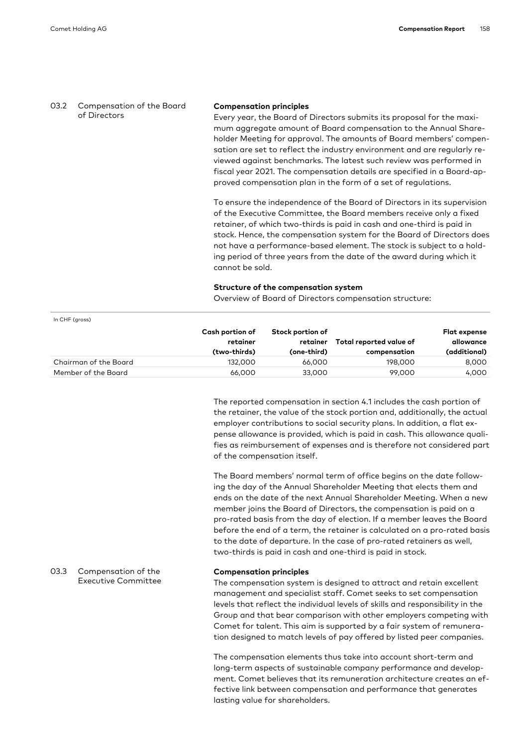#### 03.2 Compensation of the Board of Directors

#### Compensation principles

Every year, the Board of Directors submits its proposal for the maximum aggregate amount of Board compensation to the Annual Shareholder Meeting for approval. The amounts of Board members' compensation are set to reflect the industry environment and are regularly reviewed against benchmarks. The latest such review was performed in fiscal year 2021. The compensation details are specified in a Board-approved compensation plan in the form of a set of regulations.

To ensure the independence of the Board of Directors in its supervision of the Executive Committee, the Board members receive only a fixed retainer, of which two-thirds is paid in cash and one-third is paid in stock. Hence, the compensation system for the Board of Directors does not have a performance-based element. The stock is subject to a holding period of three years from the date of the award during which it cannot be sold.

#### Structure of the compensation system

Overview of Board of Directors compensation structure:

| In CHF (gross)        |                 |                  |                         |              |
|-----------------------|-----------------|------------------|-------------------------|--------------|
|                       | Cash portion of | Stock portion of |                         | Flat expense |
|                       | retainer        | retainer         | Total reported value of | allowance    |
|                       | (two-thirds)    | (one-third)      | compensation            | (additional) |
| Chairman of the Board | 132,000         | 66,000           | 198,000                 | 8,000        |
| Member of the Board   | 66,000          | 33,000           | 99,000                  | 4,000        |
|                       |                 |                  |                         |              |

The reported compensation in section 4.1 includes the cash portion of the retainer, the value of the stock portion and, additionally, the actual employer contributions to social security plans. In addition, a flat expense allowance is provided, which is paid in cash. This allowance qualifies as reimbursement of expenses and is therefore not considered part of the compensation itself.

The Board members' normal term of office begins on the date following the day of the Annual Shareholder Meeting that elects them and ends on the date of the next Annual Shareholder Meeting. When a new member joins the Board of Directors, the compensation is paid on a pro-rated basis from the day of election. If a member leaves the Board before the end of a term, the retainer is calculated on a pro-rated basis to the date of departure. In the case of pro-rated retainers as well, two-thirds is paid in cash and one-third is paid in stock.

#### 03.3 Compensation of the Executive Committee

#### Compensation principles

The compensation system is designed to attract and retain excellent management and specialist staff. Comet seeks to set compensation levels that reflect the individual levels of skills and responsibility in the Group and that bear comparison with other employers competing with Comet for talent. This aim is supported by a fair system of remuneration designed to match levels of pay offered by listed peer companies.

The compensation elements thus take into account short-term and long-term aspects of sustainable company performance and development. Comet believes that its remuneration architecture creates an effective link between compensation and performance that generates lasting value for shareholders.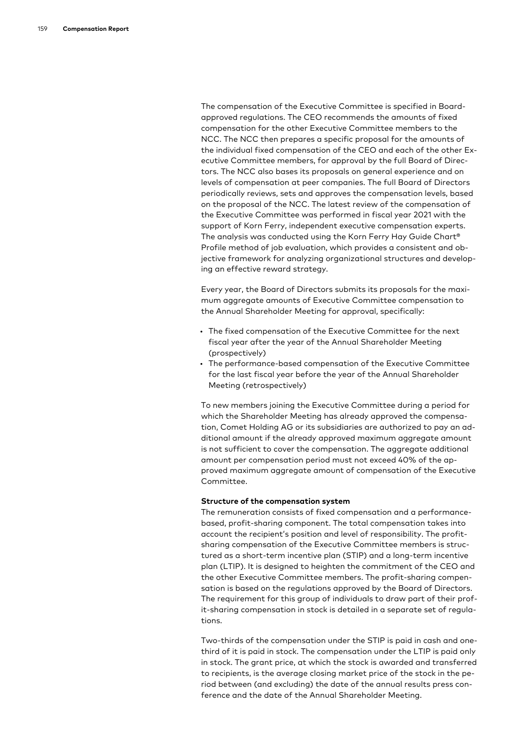The compensation of the Executive Committee is specified in Boardapproved regulations. The CEO recommends the amounts of fixed compensation for the other Executive Committee members to the NCC. The NCC then prepares a specific proposal for the amounts of the individual fixed compensation of the CEO and each of the other Executive Committee members, for approval by the full Board of Directors. The NCC also bases its proposals on general experience and on levels of compensation at peer companies. The full Board of Directors periodically reviews, sets and approves the compensation levels, based on the proposal of the NCC. The latest review of the compensation of the Executive Committee was performed in fiscal year 2021 with the support of Korn Ferry, independent executive compensation experts. The analysis was conducted using the Korn Ferry Hay Guide Chart® Profile method of job evaluation, which provides a consistent and objective framework for analyzing organizational structures and developing an effective reward strategy.

Every year, the Board of Directors submits its proposals for the maximum aggregate amounts of Executive Committee compensation to the Annual Shareholder Meeting for approval, specifically:

- The fixed compensation of the Executive Committee for the next fiscal year after the year of the Annual Shareholder Meeting (prospectively)
- The performance-based compensation of the Executive Committee for the last fiscal year before the year of the Annual Shareholder Meeting (retrospectively)

To new members joining the Executive Committee during a period for which the Shareholder Meeting has already approved the compensation, Comet Holding AG or its subsidiaries are authorized to pay an additional amount if the already approved maximum aggregate amount is not sufficient to cover the compensation. The aggregate additional amount per compensation period must not exceed 40% of the approved maximum aggregate amount of compensation of the Executive Committee.

#### Structure of the compensation system

The remuneration consists of fixed compensation and a performancebased, profit-sharing component. The total compensation takes into account the recipient's position and level of responsibility. The profitsharing compensation of the Executive Committee members is structured as a short-term incentive plan (STIP) and a long-term incentive plan (LTIP). It is designed to heighten the commitment of the CEO and the other Executive Committee members. The profit-sharing compensation is based on the regulations approved by the Board of Directors. The requirement for this group of individuals to draw part of their profit-sharing compensation in stock is detailed in a separate set of regulations.

Two-thirds of the compensation under the STIP is paid in cash and onethird of it is paid in stock. The compensation under the LTIP is paid only in stock. The grant price, at which the stock is awarded and transferred to recipients, is the average closing market price of the stock in the period between (and excluding) the date of the annual results press conference and the date of the Annual Shareholder Meeting.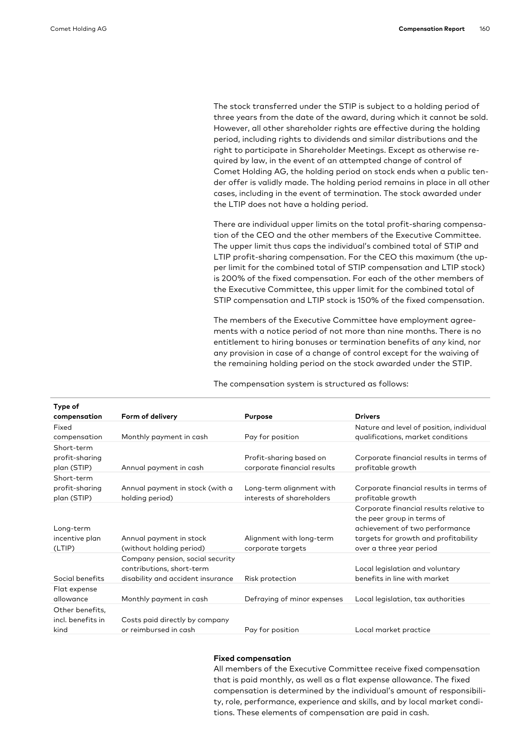The stock transferred under the STIP is subject to a holding period of three years from the date of the award, during which it cannot be sold. However, all other shareholder rights are effective during the holding period, including rights to dividends and similar distributions and the right to participate in Shareholder Meetings. Except as otherwise required by law, in the event of an attempted change of control of Comet Holding AG, the holding period on stock ends when a public tender offer is validly made. The holding period remains in place in all other cases, including in the event of termination. The stock awarded under the LTIP does not have a holding period.

There are individual upper limits on the total profit-sharing compensation of the CEO and the other members of the Executive Committee. The upper limit thus caps the individual's combined total of STIP and LTIP profit-sharing compensation. For the CEO this maximum (the upper limit for the combined total of STIP compensation and LTIP stock) is 200% of the fixed compensation. For each of the other members of the Executive Committee, this upper limit for the combined total of STIP compensation and LTIP stock is 150% of the fixed compensation.

The members of the Executive Committee have employment agreements with a notice period of not more than nine months. There is no entitlement to hiring bonuses or termination benefits of any kind, nor any provision in case of a change of control except for the waiving of the remaining holding period on the stock awarded under the STIP.

| Type of                                      |                                                                                                    |                                                        |                                                                                                                                                                             |
|----------------------------------------------|----------------------------------------------------------------------------------------------------|--------------------------------------------------------|-----------------------------------------------------------------------------------------------------------------------------------------------------------------------------|
| compensation                                 | Form of delivery                                                                                   | <b>Purpose</b>                                         | <b>Drivers</b>                                                                                                                                                              |
| Fixed<br>compensation                        | Monthly payment in cash                                                                            | Pay for position                                       | Nature and level of position, individual<br>qualifications, market conditions                                                                                               |
| Short-term<br>profit-sharing<br>plan (STIP)  | Annual payment in cash                                                                             | Profit-sharing based on<br>corporate financial results | Corporate financial results in terms of<br>profitable growth                                                                                                                |
| Short-term<br>profit-sharing<br>plan (STIP)  | Annual payment in stock (with a<br>holding period)                                                 | Long-term alignment with<br>interests of shareholders  | Corporate financial results in terms of<br>profitable growth                                                                                                                |
| Long-term<br>incentive plan<br>(LTIP)        | Annual payment in stock<br>(without holding period)                                                | Alignment with long-term<br>corporate targets          | Corporate financial results relative to<br>the peer group in terms of<br>achievement of two performance<br>targets for growth and profitability<br>over a three year period |
| Social benefits                              | Company pension, social security<br>contributions, short-term<br>disability and accident insurance | Risk protection                                        | Local legislation and voluntary<br>benefits in line with market                                                                                                             |
| Flat expense<br>allowance                    | Monthly payment in cash                                                                            | Defraying of minor expenses                            | Local legislation, tax authorities                                                                                                                                          |
| Other benefits,<br>incl. benefits in<br>kind | Costs paid directly by company<br>or reimbursed in cash                                            | Pay for position                                       | Local market practice                                                                                                                                                       |
|                                              |                                                                                                    |                                                        |                                                                                                                                                                             |

The compensation system is structured as follows:

#### Fixed compensation

All members of the Executive Committee receive fixed compensation that is paid monthly, as well as a flat expense allowance. The fixed compensation is determined by the individual's amount of responsibility, role, performance, experience and skills, and by local market conditions. These elements of compensation are paid in cash.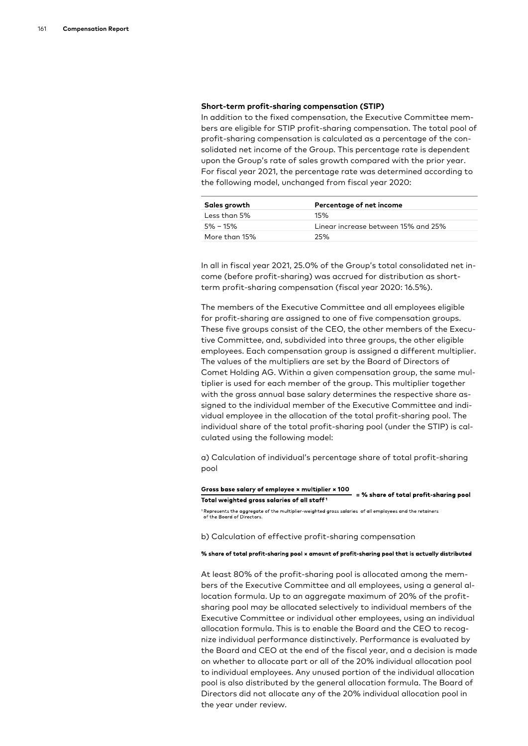#### Short-term profit-sharing compensation (STIP)

In addition to the fixed compensation, the Executive Committee members are eligible for STIP profit-sharing compensation. The total pool of profit-sharing compensation is calculated as a percentage of the consolidated net income of the Group. This percentage rate is dependent upon the Group's rate of sales growth compared with the prior year. For fiscal year 2021, the percentage rate was determined according to the following model, unchanged from fiscal year 2020:

| Sales growth  | Percentage of net income            |
|---------------|-------------------------------------|
| Less than 5%  | 15%                                 |
| 5% – 15%      | Linear increase between 15% and 25% |
| More than 15% | 25%                                 |

In all in fiscal year 2021, 25.0% of the Group's total consolidated net income (before profit-sharing) was accrued for distribution as shortterm profit-sharing compensation (fiscal year 2020: 16.5%).

The members of the Executive Committee and all employees eligible for profit-sharing are assigned to one of five compensation groups. These five groups consist of the CEO, the other members of the Executive Committee, and, subdivided into three groups, the other eligible employees. Each compensation group is assigned a different multiplier. The values of the multipliers are set by the Board of Directors of Comet Holding AG. Within a given compensation group, the same multiplier is used for each member of the group. This multiplier together with the gross annual base salary determines the respective share assigned to the individual member of the Executive Committee and individual employee in the allocation of the total profit-sharing pool. The individual share of the total profit-sharing pool (under the STIP) is calculated using the following model:

a) Calculation of individual's percentage share of total profit-sharing pool

#### Gross base salary of employee x multiplier x 100 = % share of total profit-sharing pool Total weighted gross salaries of all staff<sup>1</sup>

Pepresents the aggregate of the multiplier-weighted gross salaries of all employees and the retainers ! of the Board of Directo

b) Calculation of effective profit-sharing compensation

#### % share of total profit-sharing pool × amount of profit-sharing pool that is actually distributed

At least 80% of the profit-sharing pool is allocated among the members of the Executive Committee and all employees, using a general allocation formula. Up to an aggregate maximum of 20% of the profitsharing pool may be allocated selectively to individual members of the Executive Committee or individual other employees, using an individual allocation formula. This is to enable the Board and the CEO to recognize individual performance distinctively. Performance is evaluated by the Board and CEO at the end of the fiscal year, and a decision is made on whether to allocate part or all of the 20% individual allocation pool to individual employees. Any unused portion of the individual allocation pool is also distributed by the general allocation formula. The Board of Directors did not allocate any of the 20% individual allocation pool in the year under review.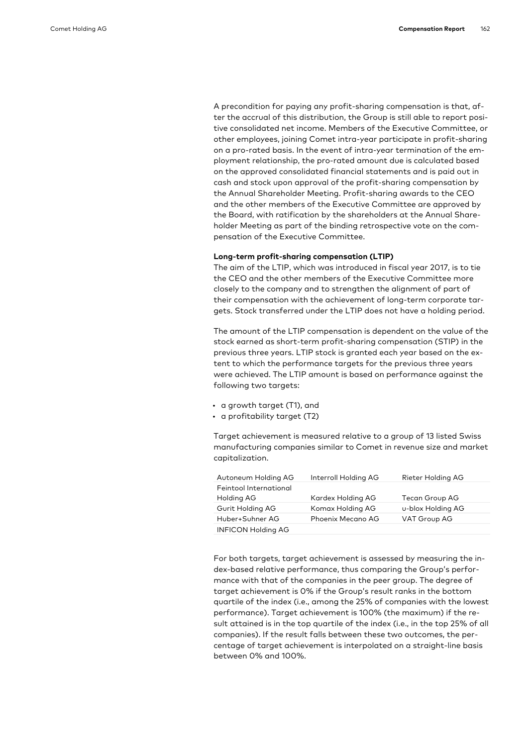A precondition for paying any profit-sharing compensation is that, after the accrual of this distribution, the Group is still able to report positive consolidated net income. Members of the Executive Committee, or other employees, joining Comet intra-year participate in profit-sharing on a pro-rated basis. In the event of intra-year termination of the employment relationship, the pro-rated amount due is calculated based on the approved consolidated financial statements and is paid out in cash and stock upon approval of the profit-sharing compensation by the Annual Shareholder Meeting. Profit-sharing awards to the CEO and the other members of the Executive Committee are approved by the Board, with ratification by the shareholders at the Annual Shareholder Meeting as part of the binding retrospective vote on the compensation of the Executive Committee.

#### Long-term profit-sharing compensation (LTIP)

The aim of the LTIP, which was introduced in fiscal year 2017, is to tie the CEO and the other members of the Executive Committee more closely to the company and to strengthen the alignment of part of their compensation with the achievement of long-term corporate targets. Stock transferred under the LTIP does not have a holding period.

The amount of the LTIP compensation is dependent on the value of the stock earned as short-term profit-sharing compensation (STIP) in the previous three years. LTIP stock is granted each year based on the extent to which the performance targets for the previous three years were achieved. The LTIP amount is based on performance against the following two targets:

- a growth target (T1), and
- a profitability target (T2)

Target achievement is measured relative to a group of 13 listed Swiss manufacturing companies similar to Comet in revenue size and market capitalization.

| Autoneum Holding AG       | Interroll Holding AG | Rieter Holding AG |
|---------------------------|----------------------|-------------------|
| Feintool International    |                      |                   |
| Holding AG                | Kardex Holding AG    | Tecan Group AG    |
| Gurit Holding AG          | Komax Holding AG     | u-blox Holding AG |
| Huber+Suhner AG           | Phoenix Mecano AG    | VAT Group AG      |
| <b>INFICON Holding AG</b> |                      |                   |

For both targets, target achievement is assessed by measuring the index-based relative performance, thus comparing the Group's performance with that of the companies in the peer group. The degree of target achievement is 0% if the Group's result ranks in the bottom quartile of the index (i.e., among the 25% of companies with the lowest performance). Target achievement is 100% (the maximum) if the result attained is in the top quartile of the index (i.e., in the top 25% of all companies). If the result falls between these two outcomes, the percentage of target achievement is interpolated on a straight-line basis between 0% and 100%.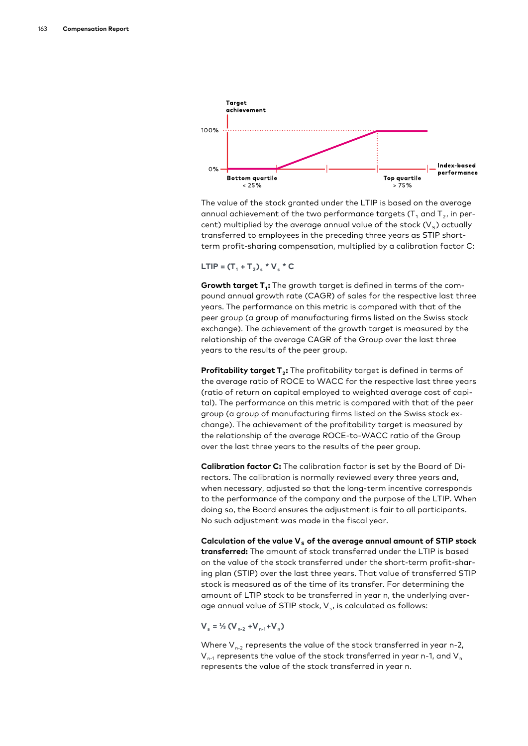

The value of the stock granted under the LTIP is based on the average annual achievement of the two performance targets (T $_{\rm 1}$  and T $_{\rm 2}$ , in percent) multiplied by the average annual value of the stock (V $_{\rm s}$ ) actually transferred to employees in the preceding three years as STIP shortterm profit-sharing compensation, multiplied by a calibration factor C:

LTIP =  $(T_1 + T_2)_1 * V_2 * C$ 

Growth target  $T_i$ : The growth target is defined in terms of the compound annual growth rate (CAGR) of sales for the respective last three years. The performance on this metric is compared with that of the peer group (a group of manufacturing firms listed on the Swiss stock exchange). The achievement of the growth target is measured by the relationship of the average CAGR of the Group over the last three years to the results of the peer group.

Profitability target  $T_2$ : The profitability target is defined in terms of the average ratio of ROCE to WACC for the respective last three years (ratio of return on capital employed to weighted average cost of capital). The performance on this metric is compared with that of the peer group (a group of manufacturing firms listed on the Swiss stock exchange). The achievement of the profitability target is measured by the relationship of the average ROCE-to-WACC ratio of the Group over the last three years to the results of the peer group.

Calibration factor C: The calibration factor is set by the Board of Directors. The calibration is normally reviewed every three years and, when necessary, adjusted so that the long-term incentive corresponds to the performance of the company and the purpose of the LTIP. When doing so, the Board ensures the adjustment is fair to all participants. No such adjustment was made in the fiscal year.

transferred: The amount of stock transferred under the LTIP is based on the value of the stock transferred under the short-term profit-sharing plan (STIP) over the last three years. That value of transferred STIP stock is measured as of the time of its transfer. For determining the amount of LTIP stock to be transferred in year n, the underlying average annual value of STIP stock,  $\mathsf{V}_\mathsf{s}$ , is calculated as follows: Calculation of the value V $_{\rm s}$  of the average annual amount of STIP stock

$$
V_s = \frac{1}{3} (V_{n-2} + V_{n-1} + V_n)
$$

Where  $V_{n-2}$  represents the value of the stock transferred in year n-2,  $V_{n-1}$  represents the value of the stock transferred in year n-1, and  $V_{n}$ represents the value of the stock transferred in year n.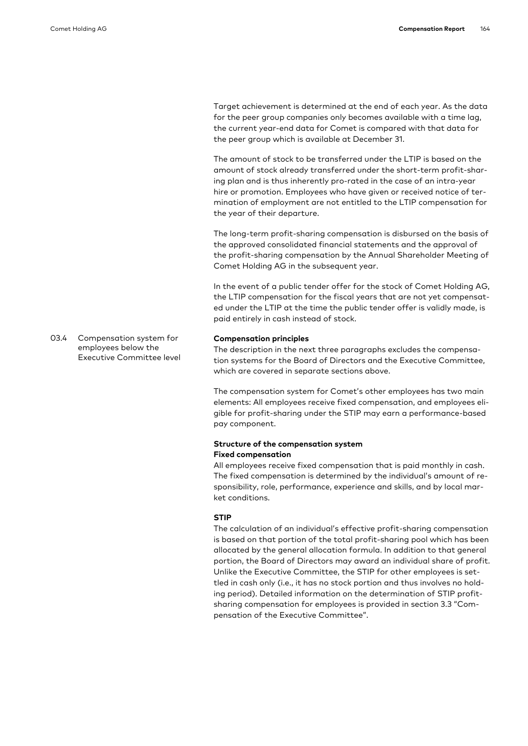Target achievement is determined at the end of each year. As the data for the peer group companies only becomes available with a time lag, the current year-end data for Comet is compared with that data for the peer group which is available at December 31.

The amount of stock to be transferred under the LTIP is based on the amount of stock already transferred under the short-term profit-sharing plan and is thus inherently pro-rated in the case of an intra-year hire or promotion. Employees who have given or received notice of termination of employment are not entitled to the LTIP compensation for the year of their departure.

The long-term profit-sharing compensation is disbursed on the basis of the approved consolidated financial statements and the approval of the profit-sharing compensation by the Annual Shareholder Meeting of Comet Holding AG in the subsequent year.

In the event of a public tender offer for the stock of Comet Holding AG, the LTIP compensation for the fiscal years that are not yet compensated under the LTIP at the time the public tender offer is validly made, is paid entirely in cash instead of stock.

#### Compensation principles

The description in the next three paragraphs excludes the compensation systems for the Board of Directors and the Executive Committee, which are covered in separate sections above.

The compensation system for Comet's other employees has two main elements: All employees receive fixed compensation, and employees eligible for profit-sharing under the STIP may earn a performance-based pay component.

### Structure of the compensation system Fixed compensation

All employees receive fixed compensation that is paid monthly in cash. The fixed compensation is determined by the individual's amount of responsibility, role, performance, experience and skills, and by local market conditions.

#### STIP

The calculation of an individual's effective profit-sharing compensation is based on that portion of the total profit-sharing pool which has been allocated by the general allocation formula. In addition to that general portion, the Board of Directors may award an individual share of profit. Unlike the Executive Committee, the STIP for other employees is settled in cash only (i.e., it has no stock portion and thus involves no holding period). Detailed information on the determination of STIP profitsharing compensation for employees is provided in section 3.3 "Compensation of the Executive Committee".

03.4 Compensation system for employees below the Executive Committee level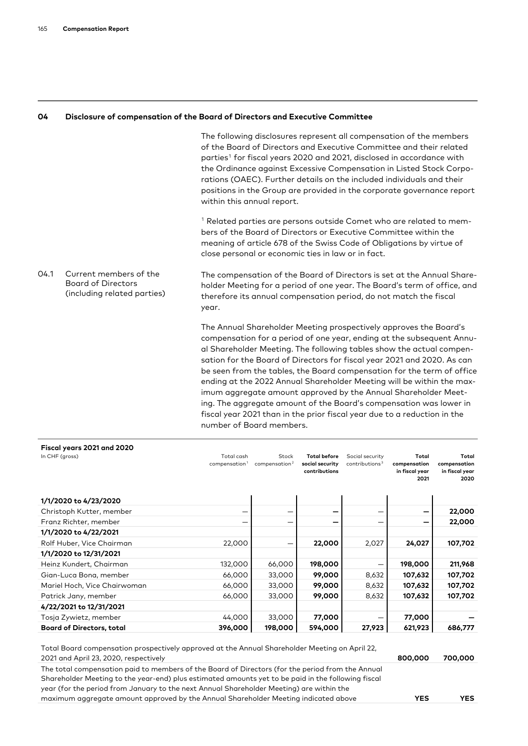#### 04 Disclosure of compensation of the Board of Directors and Executive Committee

The following disclosures represent all compensation of the members of the Board of Directors and Executive Committee and their related parties<sup>1</sup> for fiscal years 2020 and 2021, disclosed in accordance with the Ordinance against Excessive Compensation in Listed Stock Corporations (OAEC). Further details on the included individuals and their positions in the Group are provided in the corporate governance report within this annual report.

 $^1$  Related parties are persons outside Comet who are related to members of the Board of Directors or Executive Committee within the meaning of article 678 of the Swiss Code of Obligations by virtue of close personal or economic ties in law or in fact.

04.1 Current members of the Board of Directors (including related parties) The compensation of the Board of Directors is set at the Annual Shareholder Meeting for a period of one year. The Board's term of office, and therefore its annual compensation period, do not match the fiscal year.

> The Annual Shareholder Meeting prospectively approves the Board's compensation for a period of one year, ending at the subsequent Annual Shareholder Meeting. The following tables show the actual compensation for the Board of Directors for fiscal year 2021 and 2020. As can be seen from the tables, the Board compensation for the term of office ending at the 2022 Annual Shareholder Meeting will be within the maximum aggregate amount approved by the Annual Shareholder Meeting. The aggregate amount of the Board's compensation was lower in fiscal year 2021 than in the prior fiscal year due to a reduction in the number of Board members.

| Fiscal years 2021 and 2020<br>In CHF (gross) | Total cash<br>compensation <sup>1</sup> | Stock<br>compensation <sup>2</sup> | <b>Total before</b><br>social security<br>contributions | Social security<br>contributions <sup>3</sup> | Total<br>compensation<br>in fiscal year<br>2021 | Total<br>compensation<br>in fiscal year<br>2020 |
|----------------------------------------------|-----------------------------------------|------------------------------------|---------------------------------------------------------|-----------------------------------------------|-------------------------------------------------|-------------------------------------------------|
| 1/1/2020 to 4/23/2020                        |                                         |                                    |                                                         |                                               |                                                 |                                                 |
| Christoph Kutter, member                     | —                                       |                                    | -                                                       |                                               |                                                 | 22,000                                          |
| Franz Richter, member                        |                                         |                                    | -                                                       |                                               |                                                 | 22,000                                          |
| 1/1/2020 to 4/22/2021                        |                                         |                                    |                                                         |                                               |                                                 |                                                 |
| Rolf Huber, Vice Chairman                    | 22,000                                  |                                    | 22,000                                                  | 2,027                                         | 24,027                                          | 107,702                                         |
| 1/1/2020 to 12/31/2021                       |                                         |                                    |                                                         |                                               |                                                 |                                                 |
| Heinz Kundert, Chairman                      | 132,000                                 | 66,000                             | 198,000                                                 |                                               | 198,000                                         | 211,968                                         |
| Gian-Luca Bona, member                       | 66,000                                  | 33,000                             | 99,000                                                  | 8,632                                         | 107,632                                         | 107,702                                         |
| Mariel Hoch, Vice Chairwoman                 | 66,000                                  | 33,000                             | 99,000                                                  | 8,632                                         | 107,632                                         | 107,702                                         |
| Patrick Jany, member                         | 66,000                                  | 33,000                             | 99,000                                                  | 8,632                                         | 107,632                                         | 107,702                                         |
| 4/22/2021 to 12/31/2021                      |                                         |                                    |                                                         |                                               |                                                 |                                                 |
| Tosja Zywietz, member                        | 44,000                                  | 33,000                             | 77,000                                                  |                                               | 77,000                                          |                                                 |
| <b>Board of Directors, total</b>             | 396,000                                 | 198,000                            | 594,000                                                 | 27,923                                        | 621,923                                         | 686,777                                         |
|                                              |                                         |                                    |                                                         |                                               |                                                 |                                                 |

Total Board compensation prospectively approved at the Annual Shareholder Meeting on April 22, 2021 and April 23, 2020, respectively 800,000 700,000

The total compensation paid to members of the Board of Directors (for the period from the Annual Shareholder Meeting to the year-end) plus estimated amounts yet to be paid in the following fiscal year (for the period from January to the next Annual Shareholder Meeting) are within the maximum aggregate amount approved by the Annual Shareholder Meeting indicated above YES YES YES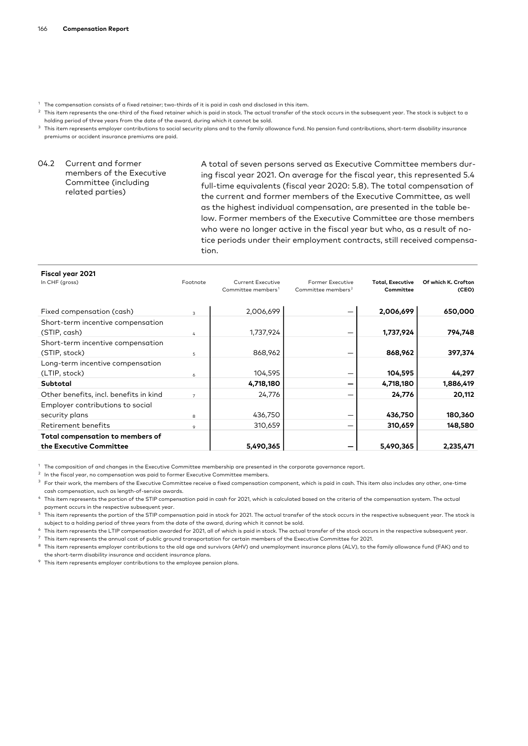$1$  The compensation consists of a fixed retainer; two-thirds of it is paid in cash and disclosed in this item.

<sup>2</sup> This item represents the one-third of the fixed retainer which is paid in stock. The actual transfer of the stock occurs in the subsequent year. The stock is subject to a holding period of three years from the date of the award, during which it cannot be sold.

<sup>3</sup> This item represents employer contributions to social security plans and to the family allowance fund. No pension fund contributions, short-term disability insurance premiums or accident insurance premiums are paid.

04.2 Current and former members of the Executive Committee (including related parties)

A total of seven persons served as Executive Committee members during fiscal year 2021. On average for the fiscal year, this represented 5.4 full-time equivalents (fiscal year 2020: 5.8). The total compensation of the current and former members of the Executive Committee, as well as the highest individual compensation, are presented in the table below. Former members of the Executive Committee are those members who were no longer active in the fiscal year but who, as a result of notice periods under their employment contracts, still received compensation.

## Fiscal year 2021

| In CHF (gross)                                     | Footnote       | <b>Current Executive</b><br>Committee members <sup>1</sup> | Former Executive<br>Committee members <sup>2</sup> | <b>Total, Executive</b><br>Committee | Of which K. Crofton<br>(CEO) |
|----------------------------------------------------|----------------|------------------------------------------------------------|----------------------------------------------------|--------------------------------------|------------------------------|
| Fixed compensation (cash)                          | 3              | 2,006,699                                                  |                                                    | 2,006,699                            | 650,000                      |
| Short-term incentive compensation<br>(STIP, cash)  | 4              | 1,737,924                                                  |                                                    | 1,737,924                            | 794,748                      |
| Short-term incentive compensation<br>(STIP, stock) | 5              | 868,962                                                    |                                                    | 868,962                              | 397,374                      |
| Long-term incentive compensation<br>(LTIP, stock)  | 6              | 104,595                                                    |                                                    | 104,595                              | 44,297                       |
| Subtotal                                           |                | 4,718,180                                                  |                                                    | 4,718,180                            | 1,886,419                    |
| Other benefits, incl. benefits in kind             | $\overline{7}$ | 24,776                                                     |                                                    | 24,776                               | 20,112                       |
| Employer contributions to social                   |                |                                                            |                                                    |                                      |                              |
| security plans                                     | 8              | 436,750                                                    |                                                    | 436,750                              | 180,360                      |
| Retirement benefits                                | 9              | 310,659                                                    |                                                    | 310,659                              | 148,580                      |
| Total compensation to members of                   |                |                                                            |                                                    |                                      |                              |
| the Executive Committee                            |                | 5,490,365                                                  |                                                    | 5,490,365                            | 2,235,471                    |

 $1$  The composition of and changes in the Executive Committee membership are presented in the corporate governance report.

 $^2$  In the fiscal year, no compensation was paid to former Executive Committee members.

<sup>3</sup> For their work, the members of the Executive Committee receive a fixed compensation component, which is paid in cash. This item also includes any other, one-time cash compensation, such as length-of-service awards.

<sup>4</sup> This item represents the portion of the STIP compensation paid in cash for 2021, which is calculated based on the criteria of the compensation system. The actual payment occurs in the respective subsequent year.

<sup>5</sup> This item represents the portion of the STIP compensation paid in stock for 2021. The actual transfer of the stock occurs in the respective subsequent year. The stock is subject to a holding period of three years from the date of the award, during which it cannot be sold.

<sup>6</sup> This item represents the LTIP compensation awarded for 2021, all of which is paid in stock. The actual transfer of the stock occurs in the respective subsequent year.

 $^7$  This item represents the annual cost of public ground transportation for certain members of the Executive Committee for 2021. 8 This item represents employer contributions to the old age and survivors (AHV) and unemployment insurance plans (ALV), to the family allowance fund (FAK) and to the short-term disability insurance and accident insurance plans.

<sup>9</sup> This item represents employer contributions to the employee pension plans.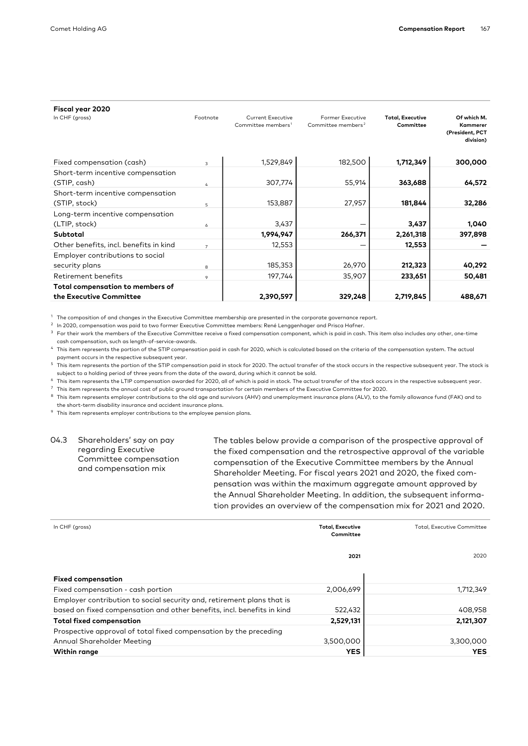| Fiscal year 2020<br>In CHF (gross)                          | Footnote       | <b>Current Executive</b><br>Committee members <sup>1</sup> | Former Executive<br>Committee members <sup>2</sup> | <b>Total, Executive</b><br>Committee | Of which M.<br>Kammerer<br>(President, PCT<br>division) |
|-------------------------------------------------------------|----------------|------------------------------------------------------------|----------------------------------------------------|--------------------------------------|---------------------------------------------------------|
| Fixed compensation (cash)                                   | 3              | 1,529,849                                                  | 182,500                                            | 1,712,349                            | 300,000                                                 |
| Short-term incentive compensation<br>(STIP, cash)           | 4              | 307,774                                                    | 55,914                                             | 363,688                              | 64,572                                                  |
| Short-term incentive compensation<br>(STIP, stock)          | 5              | 153,887                                                    | 27,957                                             | 181,844                              | 32,286                                                  |
| Long-term incentive compensation<br>(LTIP, stock)           | 6              | 3,437                                                      |                                                    | 3,437                                | 1,040                                                   |
| Subtotal                                                    |                | 1,994,947                                                  | 266,371                                            | 2,261,318                            | 397,898                                                 |
| Other benefits, incl. benefits in kind                      | $\overline{7}$ | 12,553                                                     |                                                    | 12,553                               |                                                         |
| Employer contributions to social<br>security plans          | 8              | 185,353                                                    | 26,970                                             | 212,323                              | 40,292                                                  |
| Retirement benefits                                         | 9              | 197,744                                                    | 35,907                                             | 233,651                              | 50,481                                                  |
| Total compensation to members of<br>the Executive Committee |                | 2,390,597                                                  | 329,248                                            | 2,719,845                            | 488,671                                                 |

<sup>1</sup> The composition of and changes in the Executive Committee membership are presented in the corporate governance report.

 $^2\,$  In 2020, compensation was paid to two former Executive Committee members: René Lenggenhager and Prisca Hafner.

<sup>3</sup> For their work the members of the Executive Committee receive a fixed compensation component, which is paid in cash. This item also includes any other, one-time cash compensation, such as length-of-service-awards.

4 This item represents the portion of the STIP compensation paid in cash for 2020, which is calculated based on the criteria of the compensation system. The actual payment occurs in the respective subsequent year.

5 This item represents the portion of the STIP compensation paid in stock for 2020. The actual transfer of the stock occurs in the respective subsequent year. The stock is subject to a holding period of three years from the date of the award, during which it cannot be sold.

<sup>6</sup> This item represents the LTIP compensation awarded for 2020, all of which is paid in stock. The actual transfer of the stock occurs in the respective subsequent year.  $7$  This item represents the annual cost of public ground transportation for certain members of the Executive Committee for 2020.

8 This item represents employer contributions to the old age and survivors (AHV) and unemployment insurance plans (ALV), to the family allowance fund (FAK) and to the short-term disability insurance and accident insurance plans.

<sup>9</sup> This item represents employer contributions to the employee pension plans.

04.3 Shareholders' say on pay regarding Executive Committee compensation and compensation mix

The tables below provide a comparison of the prospective approval of the fixed compensation and the retrospective approval of the variable compensation of the Executive Committee members by the Annual Shareholder Meeting. For fiscal years 2021 and 2020, the fixed compensation was within the maximum aggregate amount approved by the Annual Shareholder Meeting. In addition, the subsequent information provides an overview of the compensation mix for 2021 and 2020.

| In CHF (gross)                                                         | <b>Total, Executive</b><br>Committee | <b>Total, Executive Committee</b> |
|------------------------------------------------------------------------|--------------------------------------|-----------------------------------|
|                                                                        | 2021                                 | 2020                              |
| <b>Fixed compensation</b>                                              |                                      |                                   |
| Fixed compensation - cash portion                                      | 2.006.699                            | 1,712,349                         |
| Employer contribution to social security and, retirement plans that is |                                      |                                   |
| based on fixed compensation and other benefits, incl. benefits in kind | 522,432                              | 408,958                           |
| <b>Total fixed compensation</b>                                        | 2,529,131                            | 2,121,307                         |
| Prospective approval of total fixed compensation by the preceding      |                                      |                                   |
| Annual Shareholder Meeting                                             | 3,500,000                            | 3,300,000                         |
| <b>Within range</b>                                                    | <b>YES</b>                           | <b>YES</b>                        |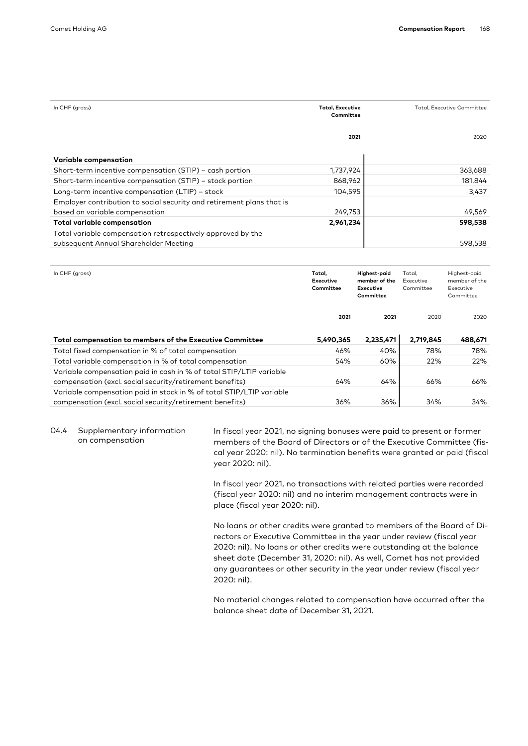| In CHF (gross)                                                        | <b>Total, Executive</b><br>Committee | Total, Executive Committee |
|-----------------------------------------------------------------------|--------------------------------------|----------------------------|
|                                                                       | 2021                                 | 2020                       |
| Variable compensation                                                 |                                      |                            |
| Short-term incentive compensation (STIP) – cash portion               | 1,737,924                            | 363,688                    |
| Short-term incentive compensation (STIP) – stock portion              | 868,962                              | 181,844                    |
| Long-term incentive compensation (LTIP) – stock                       | 104,595                              | 3,437                      |
| Employer contribution to social security and retirement plans that is |                                      |                            |
| based on variable compensation                                        | 249,753                              | 49,569                     |
| Total variable compensation                                           | 2,961,234                            | 598,538                    |
| Total variable compensation retrospectively approved by the           |                                      |                            |
| subsequent Annual Shareholder Meeting                                 |                                      | 598,538                    |

| In CHF (gross)                                                                                                                   | Total.<br>Executive<br>Committee | Highest-paid<br>member of the<br>Executive<br>Committee | Total.<br>Executive<br>Committee | Highest-paid<br>member of the<br>Executive<br>Committee |
|----------------------------------------------------------------------------------------------------------------------------------|----------------------------------|---------------------------------------------------------|----------------------------------|---------------------------------------------------------|
|                                                                                                                                  | 2021                             | 2021                                                    | 2020                             | 2020                                                    |
| Total compensation to members of the Executive Committee                                                                         | 5,490,365                        | 2,235,471                                               | 2,719,845                        | 488,671                                                 |
| Total fixed compensation in % of total compensation                                                                              | 46%                              | 40%                                                     | 78%                              | 78%                                                     |
| Total variable compensation in % of total compensation                                                                           | 54%                              | 60%                                                     | 22%                              | 22%                                                     |
| Variable compensation paid in cash in % of total STIP/LTIP variable<br>compensation (excl. social security/retirement benefits)  | 64%                              | 64%                                                     | 66%                              | 66%                                                     |
| Variable compensation paid in stock in % of total STIP/LTIP variable<br>compensation (excl. social security/retirement benefits) | 36%                              | 36%                                                     | 34%                              | 34%                                                     |
|                                                                                                                                  |                                  |                                                         |                                  |                                                         |

#### 04.4 Supplementary information on compensation

In fiscal year 2021, no signing bonuses were paid to present or former members of the Board of Directors or of the Executive Committee (fiscal year 2020: nil). No termination benefits were granted or paid (fiscal year 2020: nil).

In fiscal year 2021, no transactions with related parties were recorded (fiscal year 2020: nil) and no interim management contracts were in place (fiscal year 2020: nil).

No loans or other credits were granted to members of the Board of Directors or Executive Committee in the year under review (fiscal year 2020: nil). No loans or other credits were outstanding at the balance sheet date (December 31, 2020: nil). As well, Comet has not provided any guarantees or other security in the year under review (fiscal year 2020: nil).

No material changes related to compensation have occurred after the balance sheet date of December 31, 2021.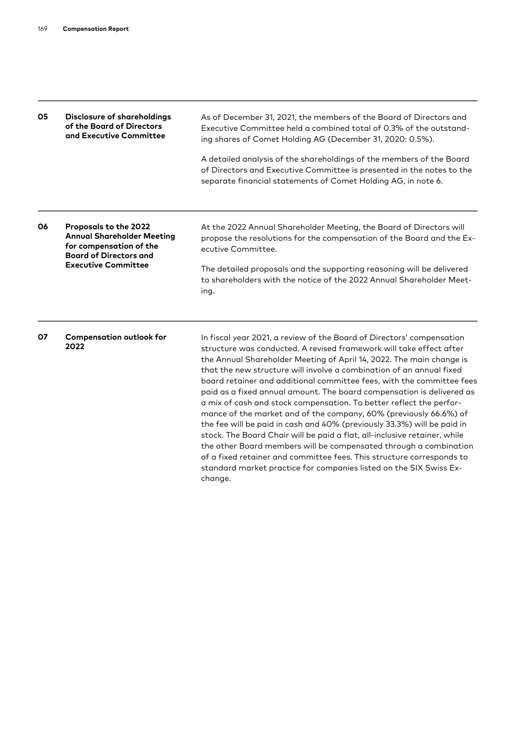| 05 | <b>Disclosure of shareholdings</b><br>of the Board of Directors<br>and Executive Committee                                                           | As of December 31, 2021, the members of the Board of Directors and<br>Executive Committee held a combined total of 0.3% of the outstand-<br>ing shares of Comet Holding AG (December 31, 2020: 0.5%).<br>A detailed analysis of the shareholdings of the members of the Board<br>of Directors and Executive Committee is presented in the notes to the<br>separate financial statements of Comet Holding AG, in note 6.                                                                                                                                                                                                                                                                                                                                                                                                                                                                                                                                                           |
|----|------------------------------------------------------------------------------------------------------------------------------------------------------|-----------------------------------------------------------------------------------------------------------------------------------------------------------------------------------------------------------------------------------------------------------------------------------------------------------------------------------------------------------------------------------------------------------------------------------------------------------------------------------------------------------------------------------------------------------------------------------------------------------------------------------------------------------------------------------------------------------------------------------------------------------------------------------------------------------------------------------------------------------------------------------------------------------------------------------------------------------------------------------|
| 06 | Proposals to the 2022<br><b>Annual Shareholder Meeting</b><br>for compensation of the<br><b>Board of Directors and</b><br><b>Executive Committee</b> | At the 2022 Annual Shareholder Meeting, the Board of Directors will<br>propose the resolutions for the compensation of the Board and the Ex-<br>ecutive Committee.<br>The detailed proposals and the supporting reasoning will be delivered<br>to shareholders with the notice of the 2022 Annual Shareholder Meet-<br>ing.                                                                                                                                                                                                                                                                                                                                                                                                                                                                                                                                                                                                                                                       |
| 07 | <b>Compensation outlook for</b><br>2022                                                                                                              | In fiscal year 2021, a review of the Board of Directors' compensation<br>structure was conducted. A revised framework will take effect after<br>the Annual Shareholder Meeting of April 14, 2022. The main change is<br>that the new structure will involve a combination of an annual fixed<br>board retainer and additional committee fees, with the committee fees<br>paid as a fixed annual amount. The board compensation is delivered as<br>a mix of cash and stock compensation. To better reflect the perfor-<br>mance of the market and of the company, 60% (previously 66.6%) of<br>the fee will be paid in cash and 40% (previously 33.3%) will be paid in<br>stock. The Board Chair will be paid a flat, all-inclusive retainer, while<br>the other Board members will be compensated through a combination<br>of a fixed retainer and committee fees. This structure corresponds to<br>standard market practice for companies listed on the SIX Swiss Ex-<br>change. |